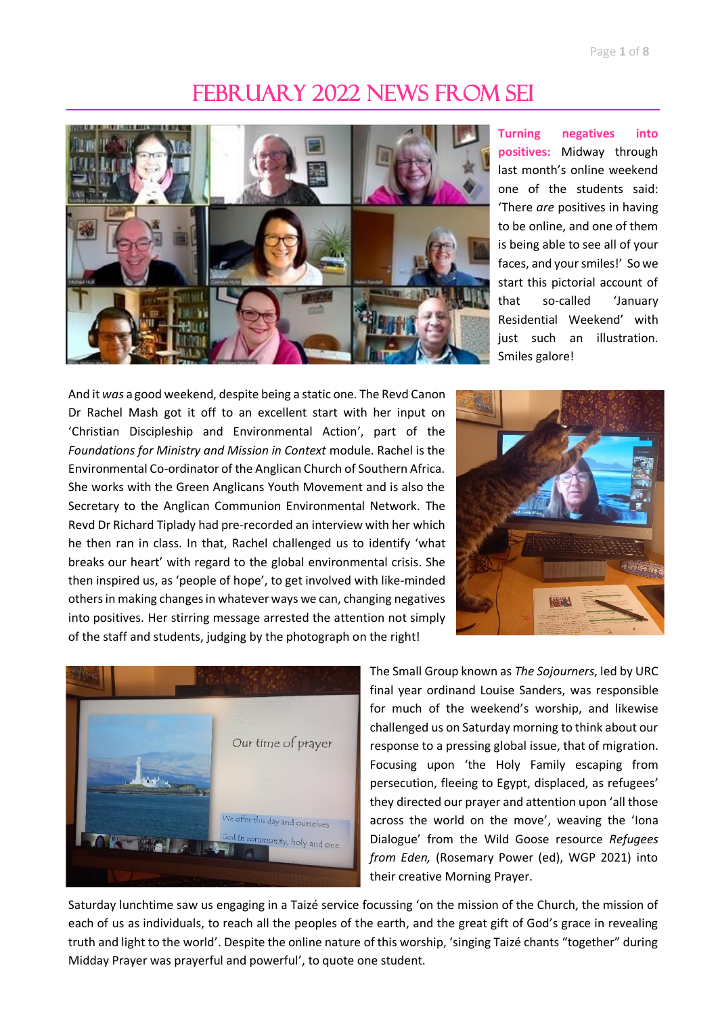## FEBRUARY 2022 NEWS FROM SEI



**Turning negatives into positives:** Midway through last month's online weekend one of the students said: 'There *are* positives in having to be online, and one of them is being able to see all of your faces, and your smiles!' So we start this pictorial account of that so-called 'January Residential Weekend' with just such an illustration. Smiles galore!

And it *was* a good weekend, despite being a static one. The Revd Canon Dr Rachel Mash got it off to an excellent start with her input on 'Christian Discipleship and Environmental Action', part of the *Foundations for Ministry and Mission in Context* module. Rachel is the Environmental Co-ordinator of the Anglican Church of Southern Africa. She works with the Green Anglicans Youth Movement and is also the Secretary to the Anglican Communion Environmental Network. The Revd Dr Richard Tiplady had pre-recorded an interview with her which he then ran in class. In that, Rachel challenged us to identify 'what breaks our heart' with regard to the global environmental crisis. She then inspired us, as 'people of hope', to get involved with like-minded others in making changes in whatever ways we can, changing negatives into positives. Her stirring message arrested the attention not simply of the staff and students, judging by the photograph on the right!





The Small Group known as *The Sojourners*, led by URC final year ordinand Louise Sanders, was responsible for much of the weekend's worship, and likewise challenged us on Saturday morning to think about our response to a pressing global issue, that of migration. Focusing upon 'the Holy Family escaping from persecution, fleeing to Egypt, displaced, as refugees' they directed our prayer and attention upon 'all those across the world on the move', weaving the 'Iona Dialogue' from the Wild Goose resource *Refugees from Eden,* (Rosemary Power (ed), WGP 2021) into their creative Morning Prayer.

Saturday lunchtime saw us engaging in a Taizé service focussing 'on the mission of the Church, the mission of each of us as individuals, to reach all the peoples of the earth, and the great gift of God's grace in revealing truth and light to the world'. Despite the online nature of this worship, 'singing Taizé chants "together" during Midday Prayer was prayerful and powerful', to quote one student.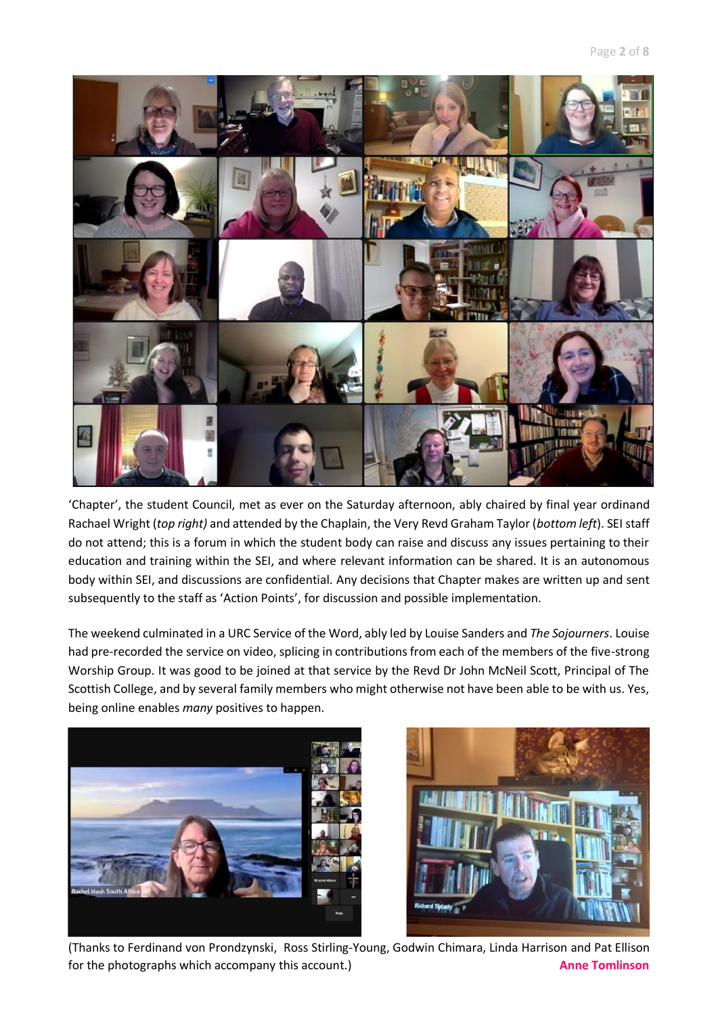

'Chapter', the student Council, met as ever on the Saturday afternoon, ably chaired by final year ordinand Rachael Wright (*top right)* and attended by the Chaplain, the Very Revd Graham Taylor (*bottom left*). SEI staff do not attend; this is a forum in which the student body can raise and discuss any issues pertaining to their education and training within the SEI, and where relevant information can be shared. It is an autonomous body within SEI, and discussions are confidential. Any decisions that Chapter makes are written up and sent subsequently to the staff as 'Action Points', for discussion and possible implementation.

The weekend culminated in a URC Service of the Word, ably led by Louise Sanders and *The Sojourners*. Louise had pre-recorded the service on video, splicing in contributions from each of the members of the five-strong Worship Group. It was good to be joined at that service by the Revd Dr John McNeil Scott, Principal of The Scottish College, and by several family members who might otherwise not have been able to be with us. Yes, being online enables *many* positives to happen.



(Thanks to Ferdinand von Prondzynski, Ross Stirling-Young, Godwin Chimara, Linda Harrison and Pat Ellison for the photographs which accompany this account.) **Anne Tomlinson**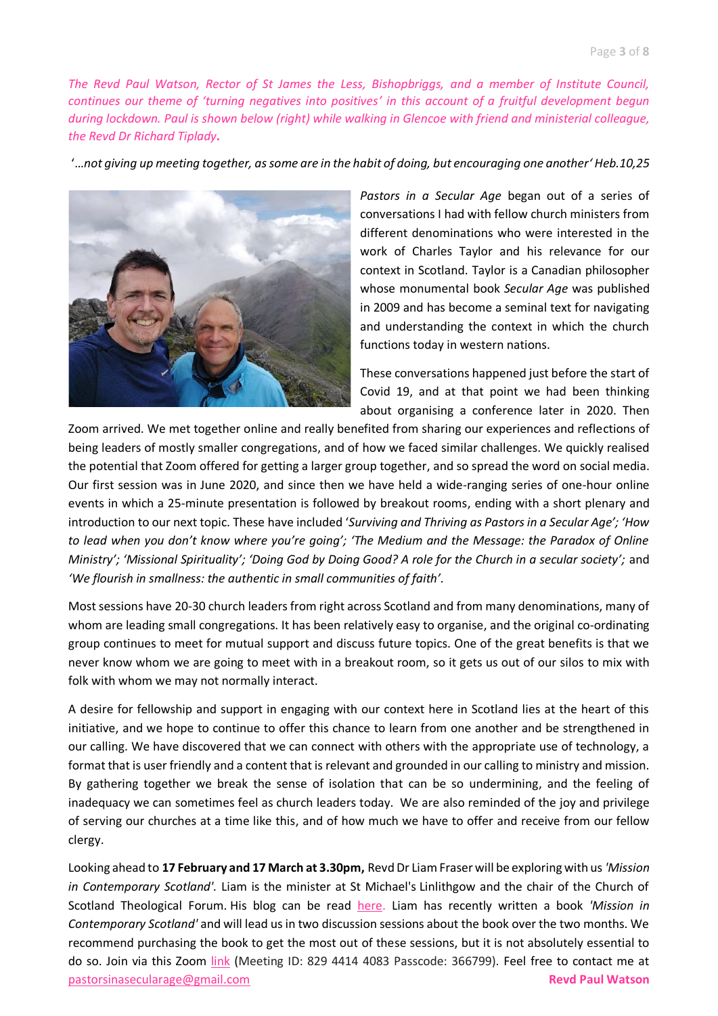*The Revd Paul Watson, Rector of St James the Less, Bishopbriggs, and a member of Institute Council, continues our theme of 'turning negatives into positives' in this account of a fruitful development begun during lockdown. Paul is shown below (right) while walking in Glencoe with friend and ministerial colleague, the Revd Dr Richard Tiplady.*

'…*not giving up meeting together, as some are in the habit of doing, but encouraging one another' Heb.10,25*



*Pastors in a Secular Age* began out of a series of conversations I had with fellow church ministers from different denominations who were interested in the work of Charles Taylor and his relevance for our context in Scotland. Taylor is a Canadian philosopher whose monumental book *Secular Age* was published in 2009 and has become a seminal text for navigating and understanding the context in which the church functions today in western nations.

These conversations happened just before the start of Covid 19, and at that point we had been thinking about organising a conference later in 2020. Then

Zoom arrived. We met together online and really benefited from sharing our experiences and reflections of being leaders of mostly smaller congregations, and of how we faced similar challenges. We quickly realised the potential that Zoom offered for getting a larger group together, and so spread the word on social media. Our first session was in June 2020, and since then we have held a wide-ranging series of one-hour online events in which a 25-minute presentation is followed by breakout rooms, ending with a short plenary and introduction to our next topic. These have included '*Surviving and Thriving as Pastors in a Secular Age'; 'How to lead when you don't know where you're going'; 'The Medium and the Message: the Paradox of Online Ministry'; 'Missional Spirituality'; 'Doing God by Doing Good? A role for the Church in a secular society';* and *'We flourish in smallness: the authentic in small communities of faith'.*

Most sessions have 20-30 church leaders from right across Scotland and from many denominations, many of whom are leading small congregations. It has been relatively easy to organise, and the original co-ordinating group continues to meet for mutual support and discuss future topics. One of the great benefits is that we never know whom we are going to meet with in a breakout room, so it gets us out of our silos to mix with folk with whom we may not normally interact.

A desire for fellowship and support in engaging with our context here in Scotland lies at the heart of this initiative, and we hope to continue to offer this chance to learn from one another and be strengthened in our calling. We have discovered that we can connect with others with the appropriate use of technology, a format that is user friendly and a content that is relevant and grounded in our calling to ministry and mission. By gathering together we break the sense of isolation that can be so undermining, and the feeling of inadequacy we can sometimes feel as church leaders today. We are also reminded of the joy and privilege of serving our churches at a time like this, and of how much we have to offer and receive from our fellow clergy.

Looking ahead to **17 February and 17 March at 3.30pm,** RevdDr Liam Fraser will be exploring with us*'Mission in Contemporary Scotland'.* Liam is the minister at St Michael's Linlithgow and the chair of the Church of Scotland Theological Forum. His blog can be read [here.](https://missioninscotland.wordpress.com/) Liam has recently written a book *'Mission in Contemporary Scotland'* and will lead us in two discussion sessions about the book over the two months. We recommend purchasing the book to get the most out of these sessions, but it is not absolutely essential to do so. Join via this Zoom [link](https://us02web.zoom.us/j/82944144083?pwd=L2ZncllUa0M1bHBPUTVaRmVBQWduUT09) (Meeting ID: 829 4414 4083 Passcode: 366799). Feel free to contact me at [pastorsinasecularage@gmail.com](mailto:pastorsinasecularage@gmail.com) **Revd Paul Watson**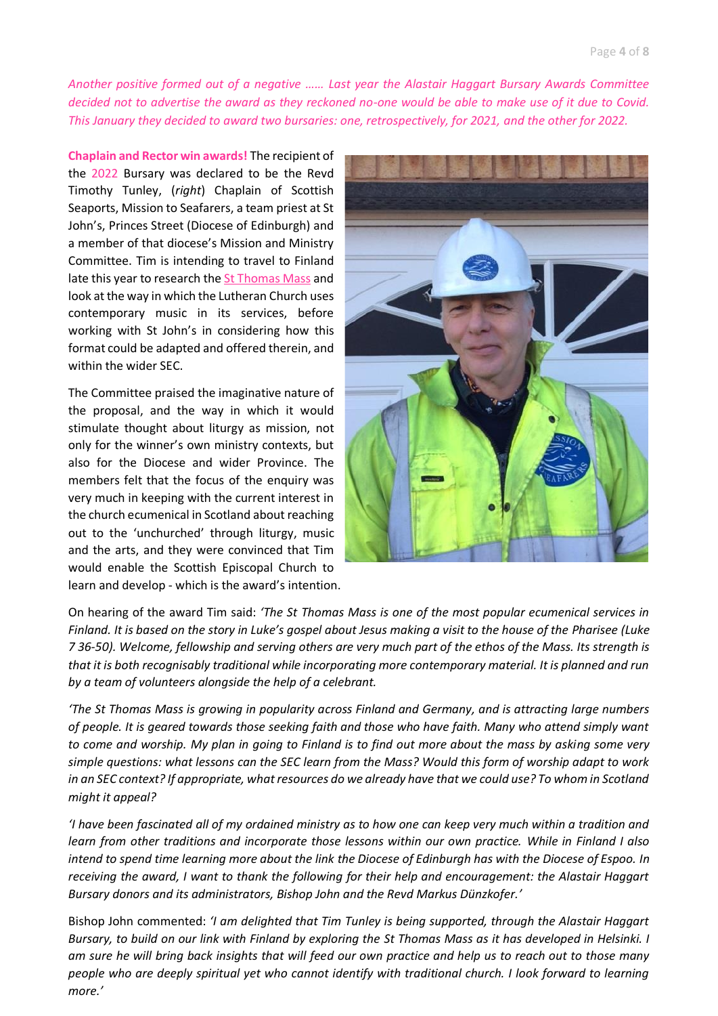*Another positive formed out of a negative …… Last year the Alastair Haggart Bursary Awards Committee decided not to advertise the award as they reckoned no-one would be able to make use of it due to Covid. This January they decided to award two bursaries: one, retrospectively, for 2021, and the other for 2022.*

**Chaplain and Rector win awards!** The recipient of the 2022 Bursary was declared to be the Revd Timothy Tunley, (*right*) Chaplain of Scottish Seaports, Mission to Seafarers, a team priest at St John's, Princes Street (Diocese of Edinburgh) and a member of that diocese's Mission and Ministry Committee. Tim is intending to travel to Finland late this year to research the [St Thomas Mass](https://www.tuomasmessu.fi/english/) and look at the way in which the Lutheran Church uses contemporary music in its services, before working with St John's in considering how this format could be adapted and offered therein, and within the wider SEC.

The Committee praised the imaginative nature of the proposal, and the way in which it would stimulate thought about liturgy as mission, not only for the winner's own ministry contexts, but also for the Diocese and wider Province. The members felt that the focus of the enquiry was very much in keeping with the current interest in the church ecumenical in Scotland about reaching out to the 'unchurched' through liturgy, music and the arts, and they were convinced that Tim would enable the Scottish Episcopal Church to learn and develop - which is the award's intention.



On hearing of the award Tim said: *'The St Thomas Mass is one of the most popular ecumenical services in Finland. It is based on the story in Luke's gospel about Jesus making a visit to the house of the Pharisee (Luke 7 36-50). Welcome, fellowship and serving others are very much part of the ethos of the Mass. Its strength is that it is both recognisably traditional while incorporating more contemporary material. It is planned and run by a team of volunteers alongside the help of a celebrant.* 

*'The St Thomas Mass is growing in popularity across Finland and Germany, and is attracting large numbers of people. It is geared towards those seeking faith and those who have faith. Many who attend simply want to come and worship. My plan in going to Finland is to find out more about the mass by asking some very simple questions: what lessons can the SEC learn from the Mass? Would this form of worship adapt to work in an SEC context? If appropriate, what resources do we already have that we could use? To whom in Scotland might it appeal?*

*'I have been fascinated all of my ordained ministry as to how one can keep very much within a tradition and learn from other traditions and incorporate those lessons within our own practice. While in Finland I also intend to spend time learning more about the link the Diocese of Edinburgh has with the Diocese of Espoo. In receiving the award, I want to thank the following for their help and encouragement: the Alastair Haggart Bursary donors and its administrators, Bishop John and the Revd Markus Dünzkofer.'*

Bishop John commented: *'I am delighted that Tim Tunley is being supported, through the Alastair Haggart Bursary, to build on our link with Finland by exploring the St Thomas Mass as it has developed in Helsinki. I am sure he will bring back insights that will feed our own practice and help us to reach out to those many people who are deeply spiritual yet who cannot identify with traditional church. I look forward to learning more.'*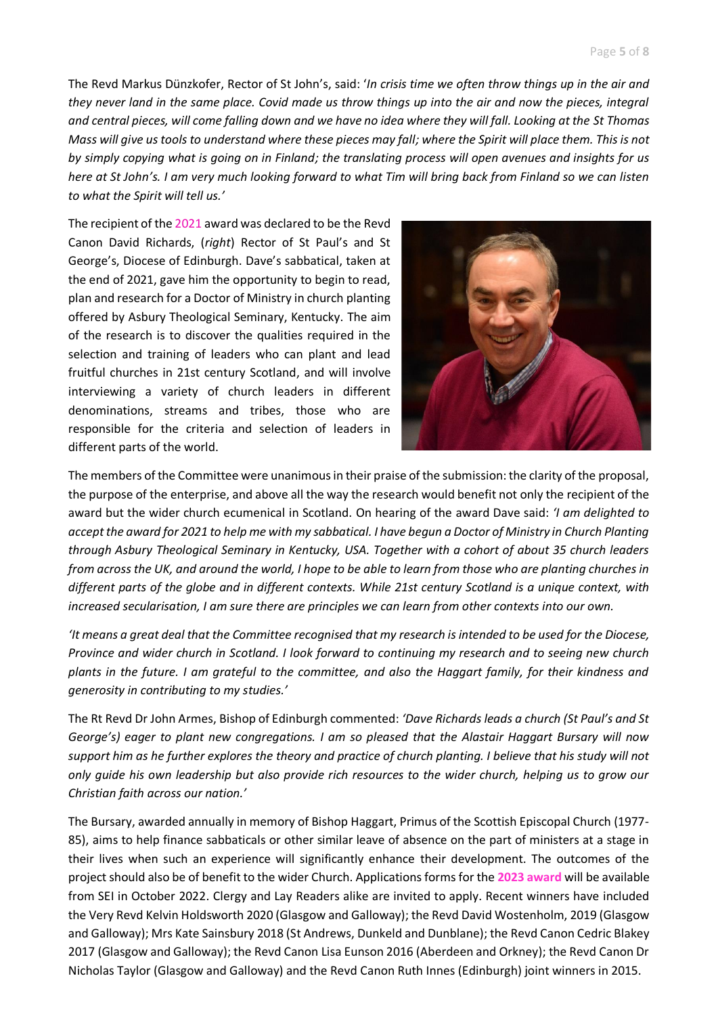The Revd Markus Dünzkofer, Rector of St John's, said: '*In crisis time we often throw things up in the air and they never land in the same place. Covid made us throw things up into the air and now the pieces, integral and central pieces, will come falling down and we have no idea where they will fall. Looking at the St Thomas Mass will give us tools to understand where these pieces may fall; where the Spirit will place them. This is not by simply copying what is going on in Finland; the translating process will open avenues and insights for us here at St John's. I am very much looking forward to what Tim will bring back from Finland so we can listen to what the Spirit will tell us.'*

The recipient of the 2021 award was declared to be the Revd Canon David Richards, (*right*) Rector of St Paul's and St George's, Diocese of Edinburgh. Dave's sabbatical, taken at the end of 2021, gave him the opportunity to begin to read, plan and research for a Doctor of Ministry in church planting offered by Asbury Theological Seminary, Kentucky. The aim of the research is to discover the qualities required in the selection and training of leaders who can plant and lead fruitful churches in 21st century Scotland, and will involve interviewing a variety of church leaders in different denominations, streams and tribes, those who are responsible for the criteria and selection of leaders in different parts of the world.



The members of the Committee were unanimous in their praise of the submission: the clarity of the proposal, the purpose of the enterprise, and above all the way the research would benefit not only the recipient of the award but the wider church ecumenical in Scotland. On hearing of the award Dave said: *'I am delighted to accept the award for 2021 to help me with my sabbatical. I have begun a Doctor of Ministry in Church Planting through Asbury Theological Seminary in Kentucky, USA. Together with a cohort of about 35 church leaders from across the UK, and around the world, I hope to be able to learn from those who are planting churches in different parts of the globe and in different contexts. While 21st century Scotland is a unique context, with increased secularisation, I am sure there are principles we can learn from other contexts into our own.*

*'It means a great deal that the Committee recognised that my research is intended to be used for the Diocese, Province and wider church in Scotland. I look forward to continuing my research and to seeing new church plants in the future. I am grateful to the committee, and also the Haggart family, for their kindness and generosity in contributing to my studies.'*

The Rt Revd Dr John Armes, Bishop of Edinburgh commented: *'Dave Richards leads a church (St Paul's and St George's) eager to plant new congregations. I am so pleased that the Alastair Haggart Bursary will now support him as he further explores the theory and practice of church planting. I believe that his study will not only guide his own leadership but also provide rich resources to the wider church, helping us to grow our Christian faith across our nation.'*

The Bursary, awarded annually in memory of Bishop Haggart, Primus of the Scottish Episcopal Church (1977- 85), aims to help finance sabbaticals or other similar leave of absence on the part of ministers at a stage in their lives when such an experience will significantly enhance their development. The outcomes of the project should also be of benefit to the wider Church. Applications forms for the **2023 award** will be available from SEI in October 2022. Clergy and Lay Readers alike are invited to apply. Recent winners have included the Very Revd Kelvin Holdsworth 2020 (Glasgow and Galloway); the Revd David Wostenholm, 2019 (Glasgow and Galloway); Mrs Kate Sainsbury 2018 (St Andrews, Dunkeld and Dunblane); the Revd Canon Cedric Blakey 2017 (Glasgow and Galloway); the Revd Canon Lisa Eunson 2016 (Aberdeen and Orkney); the Revd Canon Dr Nicholas Taylor (Glasgow and Galloway) and the Revd Canon Ruth Innes (Edinburgh) joint winners in 2015.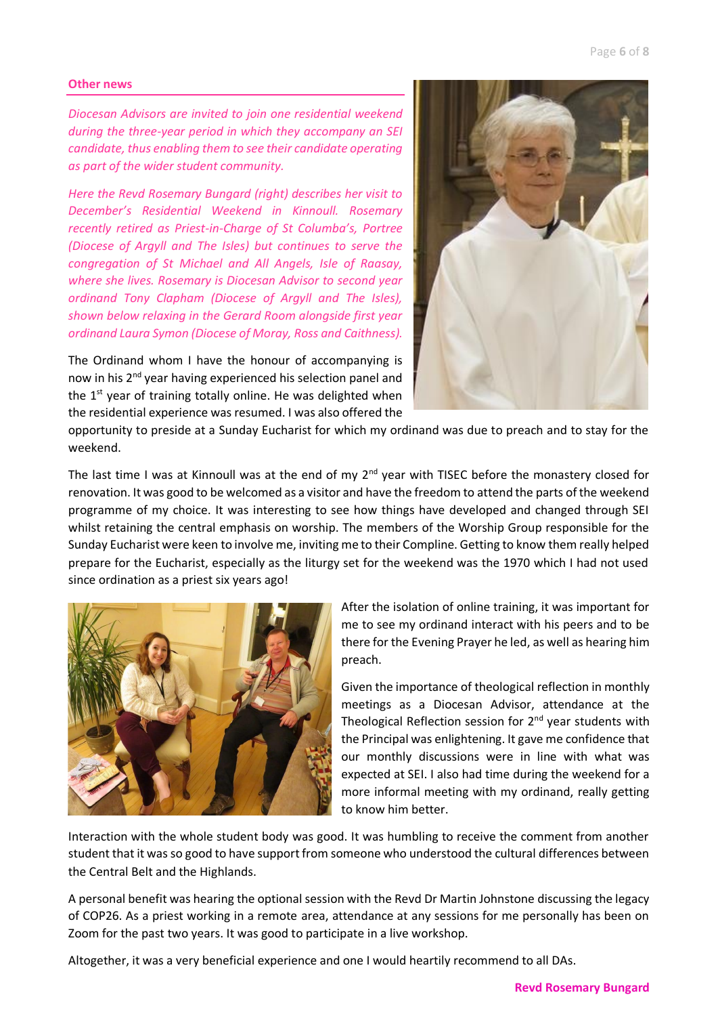## **Other news**

*Diocesan Advisors are invited to join one residential weekend during the three-year period in which they accompany an SEI candidate, thus enabling them to see their candidate operating as part of the wider student community.* 

*Here the Revd Rosemary Bungard (right) describes her visit to December's Residential Weekend in Kinnoull. Rosemary recently retired as Priest-in-Charge of St Columba's, Portree (Diocese of Argyll and The Isles) but continues to serve the congregation of St Michael and All Angels, Isle of Raasay, where she lives. Rosemary is Diocesan Advisor to second year ordinand Tony Clapham (Diocese of Argyll and The Isles), shown below relaxing in the Gerard Room alongside first year ordinand Laura Symon (Diocese of Moray, Ross and Caithness).* 

The Ordinand whom I have the honour of accompanying is now in his 2<sup>nd</sup> year having experienced his selection panel and the  $1<sup>st</sup>$  year of training totally online. He was delighted when the residential experience was resumed. I was also offered the



opportunity to preside at a Sunday Eucharist for which my ordinand was due to preach and to stay for the weekend.

The last time I was at Kinnoull was at the end of my  $2<sup>nd</sup>$  year with TISEC before the monastery closed for renovation. It was good to be welcomed as a visitor and have the freedom to attend the parts of the weekend programme of my choice. It was interesting to see how things have developed and changed through SEI whilst retaining the central emphasis on worship. The members of the Worship Group responsible for the Sunday Eucharist were keen to involve me, inviting me to their Compline. Getting to know them really helped prepare for the Eucharist, especially as the liturgy set for the weekend was the 1970 which I had not used since ordination as a priest six years ago!



After the isolation of online training, it was important for me to see my ordinand interact with his peers and to be there for the Evening Prayer he led, as well as hearing him preach.

Given the importance of theological reflection in monthly meetings as a Diocesan Advisor, attendance at the Theological Reflection session for  $2<sup>nd</sup>$  year students with the Principal was enlightening. It gave me confidence that our monthly discussions were in line with what was expected at SEI. I also had time during the weekend for a more informal meeting with my ordinand, really getting to know him better.

Interaction with the whole student body was good. It was humbling to receive the comment from another student that it was so good to have support from someone who understood the cultural differences between the Central Belt and the Highlands.

A personal benefit was hearing the optional session with the Revd Dr Martin Johnstone discussing the legacy of COP26. As a priest working in a remote area, attendance at any sessions for me personally has been on Zoom for the past two years. It was good to participate in a live workshop.

Altogether, it was a very beneficial experience and one I would heartily recommend to all DAs.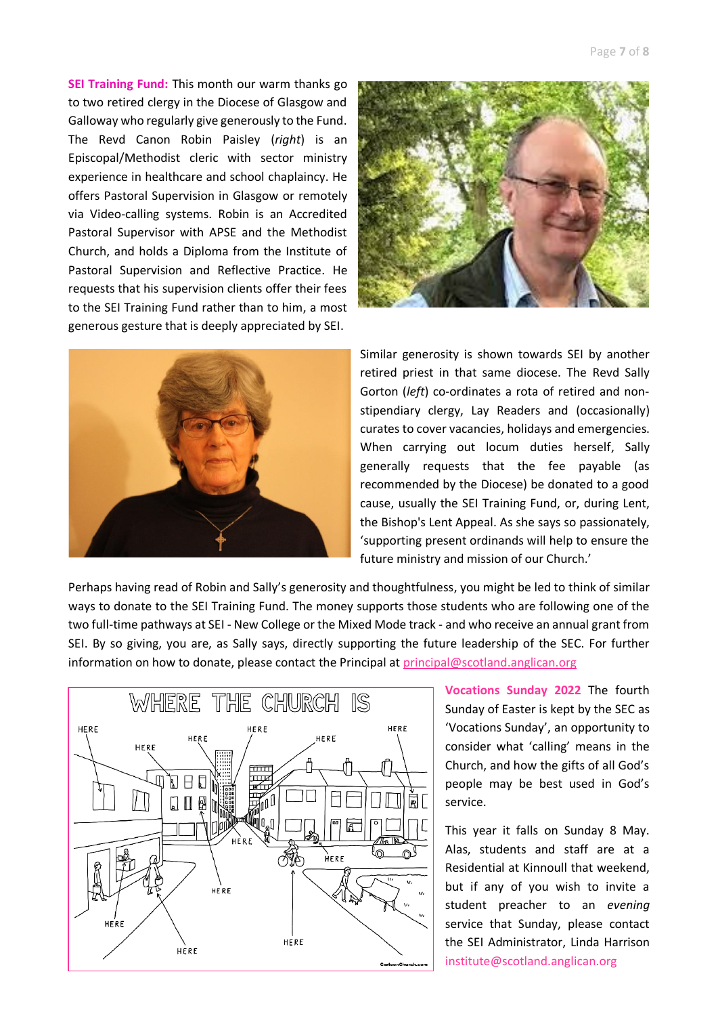**SEI Training Fund:** This month our warm thanks go to two retired clergy in the Diocese of Glasgow and Galloway who regularly give generously to the Fund. The Revd Canon Robin Paisley (*right*) is an Episcopal/Methodist cleric with sector ministry experience in healthcare and school chaplaincy. He offers Pastoral Supervision in Glasgow or remotely via Video-calling systems. Robin is an Accredited Pastoral Supervisor with APSE and the Methodist Church, and holds a Diploma from the Institute of Pastoral Supervision and Reflective Practice. He requests that his supervision clients offer their fees to the SEI Training Fund rather than to him, a most generous gesture that is deeply appreciated by SEI.





Similar generosity is shown towards SEI by another retired priest in that same diocese. The Revd Sally Gorton (*left*) co-ordinates a rota of retired and nonstipendiary clergy, Lay Readers and (occasionally) curates to cover vacancies, holidays and emergencies. When carrying out locum duties herself, Sally generally requests that the fee payable (as recommended by the Diocese) be donated to a good cause, usually the SEI Training Fund, or, during Lent, the Bishop's Lent Appeal. As she says so passionately, 'supporting present ordinands will help to ensure the future ministry and mission of our Church.'

Perhaps having read of Robin and Sally's generosity and thoughtfulness, you might be led to think of similar ways to donate to the SEI Training Fund. The money supports those students who are following one of the two full-time pathways at SEI - New College or the Mixed Mode track - and who receive an annual grant from SEI. By so giving, you are, as Sally says, directly supporting the future leadership of the SEC. For further information on how to donate, please contact the Principal at [principal@scotland.anglican.org](mailto:principal@scotland.anglican.org)



**Vocations Sunday 2022** The fourth Sunday of Easter is kept by the SEC as 'Vocations Sunday', an opportunity to consider what 'calling' means in the Church, and how the gifts of all God's people may be best used in God's service.

This year it falls on Sunday 8 May. Alas, students and staff are at a Residential at Kinnoull that weekend, but if any of you wish to invite a student preacher to an *evening* service that Sunday, please contact the SEI Administrator, Linda Harrison institute@scotland.anglican.org